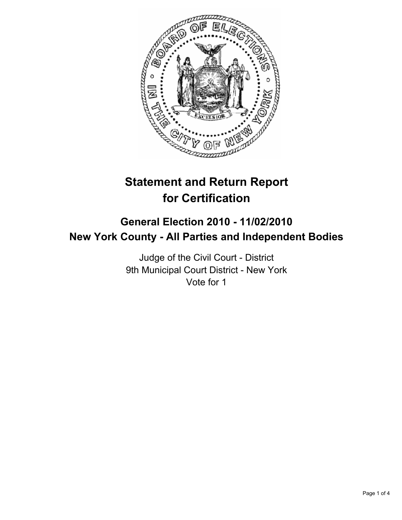

# **Statement and Return Report for Certification**

# **General Election 2010 - 11/02/2010 New York County - All Parties and Independent Bodies**

Judge of the Civil Court - District 9th Municipal Court District - New York Vote for 1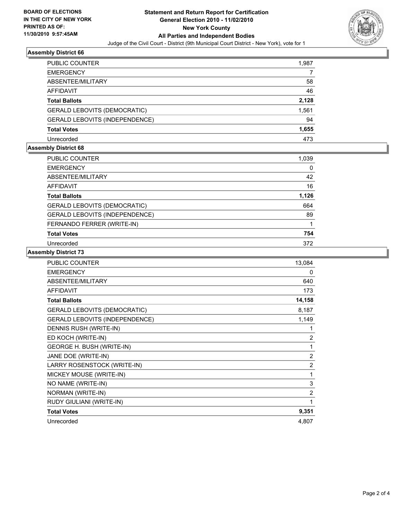

#### **Assembly District 66**

| <b>PUBLIC COUNTER</b>                 | 1,987 |
|---------------------------------------|-------|
| <b>EMERGENCY</b>                      |       |
| ABSENTEE/MILITARY                     | 58    |
| <b>AFFIDAVIT</b>                      | 46    |
| <b>Total Ballots</b>                  | 2,128 |
| <b>GERALD LEBOVITS (DEMOCRATIC)</b>   | 1,561 |
| <b>GERALD LEBOVITS (INDEPENDENCE)</b> | 94    |
| <b>Total Votes</b>                    | 1,655 |
| Unrecorded                            | 473   |

#### **Assembly District 68**

| <b>PUBLIC COUNTER</b>               | 1,039 |
|-------------------------------------|-------|
| <b>EMERGENCY</b>                    | 0     |
| ABSENTEE/MILITARY                   | 42    |
| <b>AFFIDAVIT</b>                    | 16    |
| <b>Total Ballots</b>                | 1,126 |
| <b>GERALD LEBOVITS (DEMOCRATIC)</b> | 664   |
| GERALD LEBOVITS (INDEPENDENCE)      | 89    |
| FERNANDO FERRER (WRITE-IN)          |       |
| <b>Total Votes</b>                  | 754   |
| Unrecorded                          | 372   |

## **Assembly District 73**

| <b>PUBLIC COUNTER</b>               | 13,084         |
|-------------------------------------|----------------|
| <b>EMERGENCY</b>                    | 0              |
| ABSENTEE/MILITARY                   | 640            |
| <b>AFFIDAVIT</b>                    | 173            |
| <b>Total Ballots</b>                | 14,158         |
| <b>GERALD LEBOVITS (DEMOCRATIC)</b> | 8,187          |
| GERALD LEBOVITS (INDEPENDENCE)      | 1,149          |
| DENNIS RUSH (WRITE-IN)              | 1              |
| ED KOCH (WRITE-IN)                  | $\overline{2}$ |
| <b>GEORGE H. BUSH (WRITE-IN)</b>    | 1              |
| JANE DOE (WRITE-IN)                 | $\overline{2}$ |
| LARRY ROSENSTOCK (WRITE-IN)         | $\overline{2}$ |
| MICKEY MOUSE (WRITE-IN)             | 1              |
| NO NAME (WRITE-IN)                  | 3              |
| NORMAN (WRITE-IN)                   | $\overline{2}$ |
| RUDY GIULIANI (WRITE-IN)            | 1              |
| <b>Total Votes</b>                  | 9,351          |
| Unrecorded                          | 4,807          |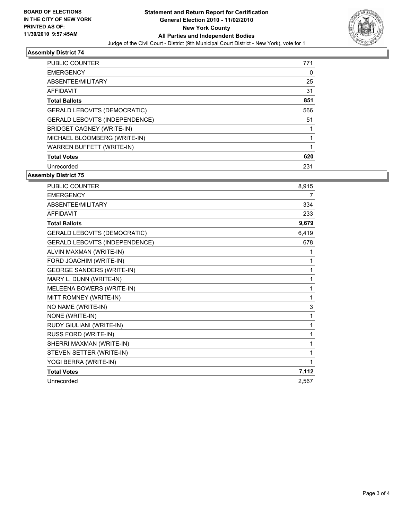

## **Assembly District 74**

| PUBLIC COUNTER                      | 771 |
|-------------------------------------|-----|
| <b>EMERGENCY</b>                    | 0   |
| ABSENTEE/MILITARY                   | 25  |
| AFFIDAVIT                           | 31  |
| <b>Total Ballots</b>                | 851 |
| <b>GERALD LEBOVITS (DEMOCRATIC)</b> | 566 |
| GERALD LEBOVITS (INDEPENDENCE)      | 51  |
| <b>BRIDGET CAGNEY (WRITE-IN)</b>    |     |
| MICHAEL BLOOMBERG (WRITE-IN)        |     |
| <b>WARREN BUFFETT (WRITE-IN)</b>    |     |
| <b>Total Votes</b>                  | 620 |
| Unrecorded                          | 231 |

**Assembly District 75**

| <b>PUBLIC COUNTER</b>               | 8,915 |
|-------------------------------------|-------|
| <b>EMERGENCY</b>                    | 7     |
| ABSENTEE/MILITARY                   | 334   |
| <b>AFFIDAVIT</b>                    | 233   |
| <b>Total Ballots</b>                | 9,679 |
| <b>GERALD LEBOVITS (DEMOCRATIC)</b> | 6,419 |
| GERALD LEBOVITS (INDEPENDENCE)      | 678   |
| ALVIN MAXMAN (WRITE-IN)             | 1     |
| FORD JOACHIM (WRITE-IN)             | 1     |
| <b>GEORGE SANDERS (WRITE-IN)</b>    | 1     |
| MARY L. DUNN (WRITE-IN)             | 1     |
| MELEENA BOWERS (WRITE-IN)           | 1     |
| MITT ROMNEY (WRITE-IN)              | 1     |
| NO NAME (WRITE-IN)                  | 3     |
| NONE (WRITE-IN)                     | 1     |
| RUDY GIULIANI (WRITE-IN)            | 1     |
| RUSS FORD (WRITE-IN)                | 1     |
| SHERRI MAXMAN (WRITE-IN)            | 1     |
| STEVEN SETTER (WRITE-IN)            | 1     |
| YOGI BERRA (WRITE-IN)               | 1     |
| <b>Total Votes</b>                  | 7,112 |
| Unrecorded                          | 2.567 |